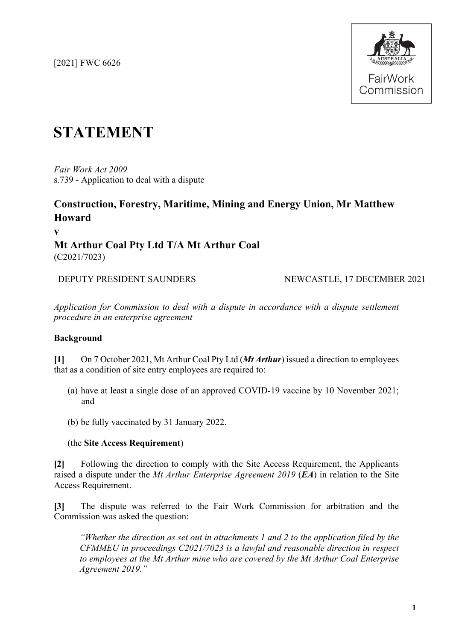[2021] FWC 6626



# **STATEMENT**

*Fair Work Act 2009*  s.739 - Application to deal with a dispute

## **Construction, Forestry, Maritime, Mining and Energy Union, Mr Matthew Howard**

**v Mt Arthur Coal Pty Ltd T/A Mt Arthur Coal** (C2021/7023)

DEPUTY PRESIDENT SAUNDERS NEWCASTLE, 17 DECEMBER 2021

*Application for Commission to deal with a dispute in accordance with a dispute settlement procedure in an enterprise agreement*

## **Background**

**[1]** On 7 October 2021, Mt Arthur Coal Pty Ltd (*Mt Arthur*) issued a direction to employees that as a condition of site entry employees are required to:

- (a) have at least a single dose of an approved COVID-19 vaccine by 10 November 2021; and
- (b) be fully vaccinated by 31 January 2022.

## (the **Site Access Requirement**)

**[2]** Following the direction to comply with the Site Access Requirement, the Applicants raised a dispute under the *Mt Arthur Enterprise Agreement 2019* (*EA*) in relation to the Site Access Requirement.

**[3]** The dispute was referred to the Fair Work Commission for arbitration and the Commission was asked the question:

*"Whether the direction as set out in attachments 1 and 2 to the application filed by the CFMMEU in proceedings C2021/7023 is a lawful and reasonable direction in respect to employees at the Mt Arthur mine who are covered by the Mt Arthur Coal Enterprise Agreement 2019."*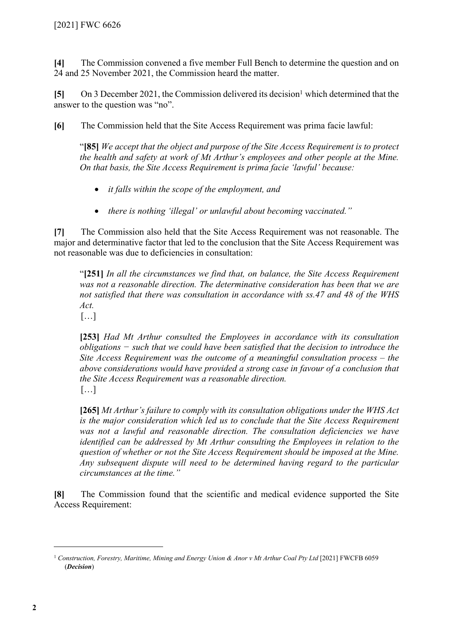**[4]** The Commission convened a five member Full Bench to determine the question and on 24 and 25 November 2021, the Commission heard the matter.

[5] On 3 December 2021, the Commission delivered its decision<sup>1</sup> which determined that the answer to the question was "no".

**[6]** The Commission held that the Site Access Requirement was prima facie lawful:

"**[85]** *We accept that the object and purpose of the Site Access Requirement is to protect the health and safety at work of Mt Arthur's employees and other people at the Mine. On that basis, the Site Access Requirement is prima facie 'lawful' because:* 

- *it falls within the scope of the employment, and*
- *there is nothing 'illegal' or unlawful about becoming vaccinated."*

**[7]** The Commission also held that the Site Access Requirement was not reasonable. The major and determinative factor that led to the conclusion that the Site Access Requirement was not reasonable was due to deficiencies in consultation:

"**[251]** *In all the circumstances we find that, on balance, the Site Access Requirement was not a reasonable direction. The determinative consideration has been that we are not satisfied that there was consultation in accordance with ss.47 and 48 of the WHS Act.*

[…]

**[253]** *Had Mt Arthur consulted the Employees in accordance with its consultation obligations − such that we could have been satisfied that the decision to introduce the Site Access Requirement was the outcome of a meaningful consultation process – the above considerations would have provided a strong case in favour of a conclusion that the Site Access Requirement was a reasonable direction.* […]

**[265]** *Mt Arthur's failure to comply with its consultation obligations under the WHS Act is the major consideration which led us to conclude that the Site Access Requirement*  was not a lawful and reasonable direction. The consultation deficiencies we have *identified can be addressed by Mt Arthur consulting the Employees in relation to the question of whether or not the Site Access Requirement should be imposed at the Mine. Any subsequent dispute will need to be determined having regard to the particular circumstances at the time."*

**[8]** The Commission found that the scientific and medical evidence supported the Site Access Requirement:

<sup>1</sup> *Construction, Forestry, Maritime, Mining and Energy Union & Anor v Mt Arthur Coal Pty Ltd* [2021] FWCFB 6059 (*Decision*)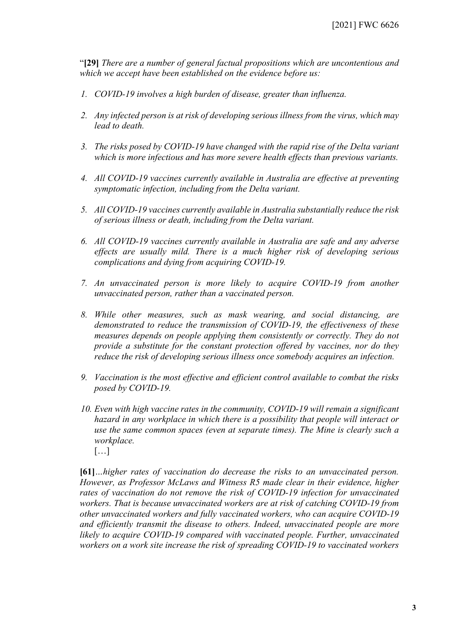"**[29]** *There are a number of general factual propositions which are uncontentious and which we accept have been established on the evidence before us:*

- *1. COVID-19 involves a high burden of disease, greater than influenza.*
- *2. Any infected person is at risk of developing serious illness from the virus, which may lead to death.*
- *3. The risks posed by COVID-19 have changed with the rapid rise of the Delta variant which is more infectious and has more severe health effects than previous variants.*
- *4. All COVID-19 vaccines currently available in Australia are effective at preventing symptomatic infection, including from the Delta variant.*
- *5. All COVID-19 vaccines currently available in Australia substantially reduce the risk of serious illness or death, including from the Delta variant.*
- *6. All COVID-19 vaccines currently available in Australia are safe and any adverse effects are usually mild. There is a much higher risk of developing serious complications and dying from acquiring COVID-19.*
- *7. An unvaccinated person is more likely to acquire COVID-19 from another unvaccinated person, rather than a vaccinated person.*
- *8. While other measures, such as mask wearing, and social distancing, are demonstrated to reduce the transmission of COVID-19, the effectiveness of these measures depends on people applying them consistently or correctly. They do not provide a substitute for the constant protection offered by vaccines, nor do they reduce the risk of developing serious illness once somebody acquires an infection.*
- *9. Vaccination is the most effective and efficient control available to combat the risks posed by COVID-19.*
- *10. Even with high vaccine rates in the community, COVID-19 will remain a significant hazard in any workplace in which there is a possibility that people will interact or use the same common spaces (even at separate times). The Mine is clearly such a workplace.* […]

**[61]***…higher rates of vaccination do decrease the risks to an unvaccinated person. However, as Professor McLaws and Witness R5 made clear in their evidence, higher rates of vaccination do not remove the risk of COVID-19 infection for unvaccinated workers. That is because unvaccinated workers are at risk of catching COVID-19 from other unvaccinated workers and fully vaccinated workers, who can acquire COVID-19 and efficiently transmit the disease to others. Indeed, unvaccinated people are more likely to acquire COVID-19 compared with vaccinated people. Further, unvaccinated workers on a work site increase the risk of spreading COVID-19 to vaccinated workers*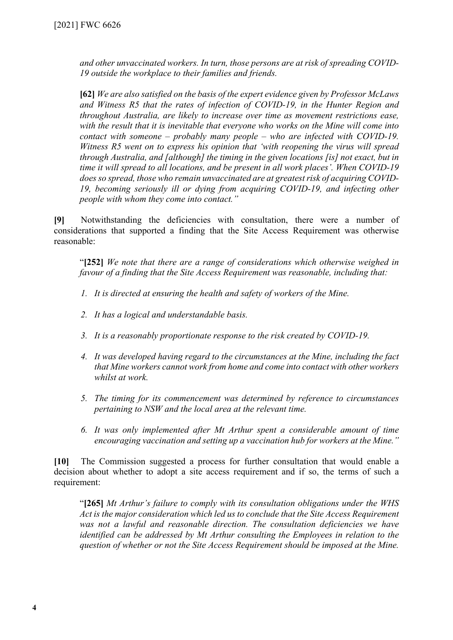*and other unvaccinated workers. In turn, those persons are at risk of spreading COVID-19 outside the workplace to their families and friends.*

**[62]** *We are also satisfied on the basis of the expert evidence given by Professor McLaws and Witness R5 that the rates of infection of COVID-19, in the Hunter Region and throughout Australia, are likely to increase over time as movement restrictions ease, with the result that it is inevitable that everyone who works on the Mine will come into contact with someone – probably many people – who are infected with COVID-19. Witness R5 went on to express his opinion that 'with reopening the virus will spread through Australia, and [although] the timing in the given locations [is] not exact, but in time it will spread to all locations, and be present in all work places'. When COVID-19 does so spread, those who remain unvaccinated are at greatest risk of acquiring COVID-19, becoming seriously ill or dying from acquiring COVID-19, and infecting other people with whom they come into contact."*

**[9]** Notwithstanding the deficiencies with consultation, there were a number of considerations that supported a finding that the Site Access Requirement was otherwise reasonable:

"**[252]** *We note that there are a range of considerations which otherwise weighed in favour of a finding that the Site Access Requirement was reasonable, including that:*

- *1. It is directed at ensuring the health and safety of workers of the Mine.*
- *2. It has a logical and understandable basis.*
- *3. It is a reasonably proportionate response to the risk created by COVID-19.*
- *4. It was developed having regard to the circumstances at the Mine, including the fact that Mine workers cannot work from home and come into contact with other workers whilst at work.*
- *5. The timing for its commencement was determined by reference to circumstances pertaining to NSW and the local area at the relevant time.*
- *6. It was only implemented after Mt Arthur spent a considerable amount of time encouraging vaccination and setting up a vaccination hub for workers at the Mine."*

**[10]** The Commission suggested a process for further consultation that would enable a decision about whether to adopt a site access requirement and if so, the terms of such a requirement:

"**[265]** *Mt Arthur's failure to comply with its consultation obligations under the WHS Act is the major consideration which led us to conclude that the Site Access Requirement*  was not a lawful and reasonable direction. The consultation deficiencies we have *identified can be addressed by Mt Arthur consulting the Employees in relation to the question of whether or not the Site Access Requirement should be imposed at the Mine.*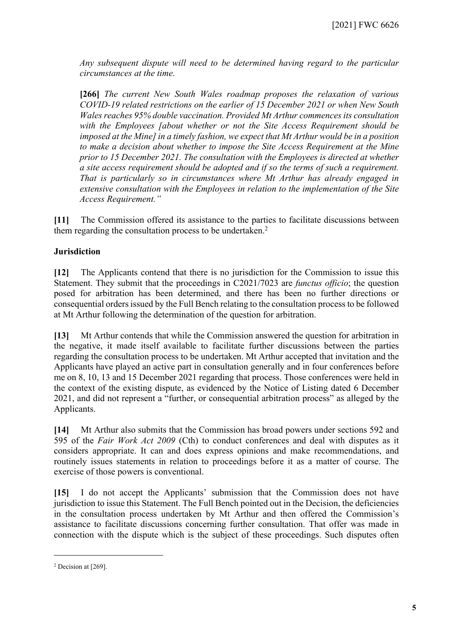*Any subsequent dispute will need to be determined having regard to the particular circumstances at the time.*

**[266]** *The current New South Wales roadmap proposes the relaxation of various COVID-19 related restrictions on the earlier of 15 December 2021 or when New South Wales reaches 95% double vaccination. Provided Mt Arthur commences its consultation with the Employees [about whether or not the Site Access Requirement should be imposed at the Mine] in a timely fashion, we expect that Mt Arthur would be in a position to make a decision about whether to impose the Site Access Requirement at the Mine prior to 15 December 2021. The consultation with the Employees is directed at whether a site access requirement should be adopted and if so the terms of such a requirement. That is particularly so in circumstances where Mt Arthur has already engaged in extensive consultation with the Employees in relation to the implementation of the Site Access Requirement."*

**[11]** The Commission offered its assistance to the parties to facilitate discussions between them regarding the consultation process to be undertaken.<sup>2</sup>

## **Jurisdiction**

**[12]** The Applicants contend that there is no jurisdiction for the Commission to issue this Statement. They submit that the proceedings in C2021/7023 are *functus officio*; the question posed for arbitration has been determined, and there has been no further directions or consequential orders issued by the Full Bench relating to the consultation process to be followed at Mt Arthur following the determination of the question for arbitration.

**[13]** Mt Arthur contends that while the Commission answered the question for arbitration in the negative, it made itself available to facilitate further discussions between the parties regarding the consultation process to be undertaken. Mt Arthur accepted that invitation and the Applicants have played an active part in consultation generally and in four conferences before me on 8, 10, 13 and 15 December 2021 regarding that process. Those conferences were held in the context of the existing dispute, as evidenced by the Notice of Listing dated 6 December 2021, and did not represent a "further, or consequential arbitration process" as alleged by the Applicants.

**[14]** Mt Arthur also submits that the Commission has broad powers under sections 592 and 595 of the *Fair Work Act 2009* (Cth) to conduct conferences and deal with disputes as it considers appropriate. It can and does express opinions and make recommendations, and routinely issues statements in relation to proceedings before it as a matter of course. The exercise of those powers is conventional.

**[15]** I do not accept the Applicants' submission that the Commission does not have jurisdiction to issue this Statement. The Full Bench pointed out in the Decision, the deficiencies in the consultation process undertaken by Mt Arthur and then offered the Commission's assistance to facilitate discussions concerning further consultation. That offer was made in connection with the dispute which is the subject of these proceedings. Such disputes often

<sup>2</sup> Decision at [269].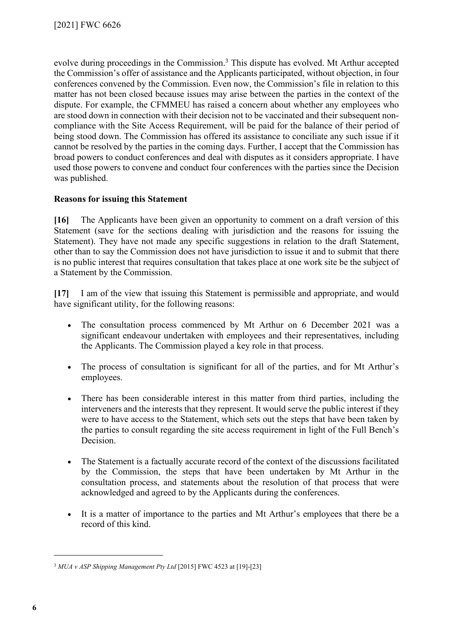evolve during proceedings in the Commission.<sup>3</sup> This dispute has evolved. Mt Arthur accepted the Commission's offer of assistance and the Applicants participated, without objection, in four conferences convened by the Commission. Even now, the Commission's file in relation to this matter has not been closed because issues may arise between the parties in the context of the dispute. For example, the CFMMEU has raised a concern about whether any employees who are stood down in connection with their decision not to be vaccinated and their subsequent noncompliance with the Site Access Requirement, will be paid for the balance of their period of being stood down. The Commission has offered its assistance to conciliate any such issue if it cannot be resolved by the parties in the coming days. Further, I accept that the Commission has broad powers to conduct conferences and deal with disputes as it considers appropriate. I have used those powers to convene and conduct four conferences with the parties since the Decision was published.

## **Reasons for issuing this Statement**

**[16]** The Applicants have been given an opportunity to comment on a draft version of this Statement (save for the sections dealing with jurisdiction and the reasons for issuing the Statement). They have not made any specific suggestions in relation to the draft Statement, other than to say the Commission does not have jurisdiction to issue it and to submit that there is no public interest that requires consultation that takes place at one work site be the subject of a Statement by the Commission.

**[17]** I am of the view that issuing this Statement is permissible and appropriate, and would have significant utility, for the following reasons:

- The consultation process commenced by Mt Arthur on 6 December 2021 was a significant endeavour undertaken with employees and their representatives, including the Applicants. The Commission played a key role in that process.
- The process of consultation is significant for all of the parties, and for Mt Arthur's employees.
- There has been considerable interest in this matter from third parties, including the interveners and the interests that they represent. It would serve the public interest if they were to have access to the Statement, which sets out the steps that have been taken by the parties to consult regarding the site access requirement in light of the Full Bench's Decision.
- The Statement is a factually accurate record of the context of the discussions facilitated by the Commission, the steps that have been undertaken by Mt Arthur in the consultation process, and statements about the resolution of that process that were acknowledged and agreed to by the Applicants during the conferences.
- It is a matter of importance to the parties and Mt Arthur's employees that there be a record of this kind.

<sup>3</sup> *MUA v ASP Shipping Management Pty Ltd* [2015] FWC 4523 at [19]-[23]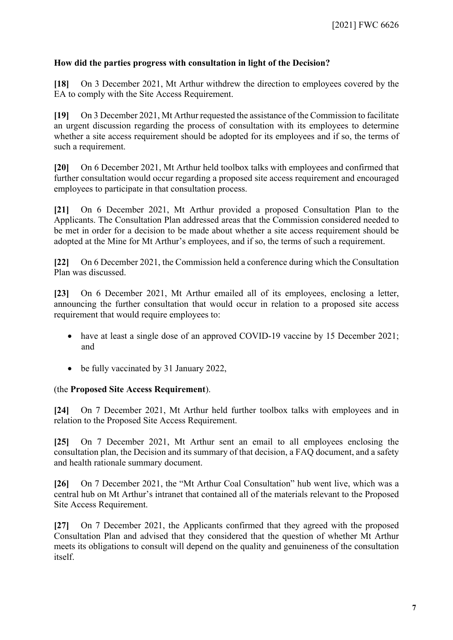## **How did the parties progress with consultation in light of the Decision?**

**[18]** On 3 December 2021, Mt Arthur withdrew the direction to employees covered by the EA to comply with the Site Access Requirement.

**[19]** On 3 December 2021, Mt Arthur requested the assistance of the Commission to facilitate an urgent discussion regarding the process of consultation with its employees to determine whether a site access requirement should be adopted for its employees and if so, the terms of such a requirement.

**[20]** On 6 December 2021, Mt Arthur held toolbox talks with employees and confirmed that further consultation would occur regarding a proposed site access requirement and encouraged employees to participate in that consultation process.

**[21]** On 6 December 2021, Mt Arthur provided a proposed Consultation Plan to the Applicants. The Consultation Plan addressed areas that the Commission considered needed to be met in order for a decision to be made about whether a site access requirement should be adopted at the Mine for Mt Arthur's employees, and if so, the terms of such a requirement.

**[22]** On 6 December 2021, the Commission held a conference during which the Consultation Plan was discussed.

**[23]** On 6 December 2021, Mt Arthur emailed all of its employees, enclosing a letter, announcing the further consultation that would occur in relation to a proposed site access requirement that would require employees to:

- have at least a single dose of an approved COVID-19 vaccine by 15 December 2021; and
- be fully vaccinated by 31 January 2022,

## (the **Proposed Site Access Requirement**).

**[24]** On 7 December 2021, Mt Arthur held further toolbox talks with employees and in relation to the Proposed Site Access Requirement.

**[25]** On 7 December 2021, Mt Arthur sent an email to all employees enclosing the consultation plan, the Decision and its summary of that decision, a FAQ document, and a safety and health rationale summary document.

**[26]** On 7 December 2021, the "Mt Arthur Coal Consultation" hub went live, which was a central hub on Mt Arthur's intranet that contained all of the materials relevant to the Proposed Site Access Requirement.

**[27]** On 7 December 2021, the Applicants confirmed that they agreed with the proposed Consultation Plan and advised that they considered that the question of whether Mt Arthur meets its obligations to consult will depend on the quality and genuineness of the consultation itself.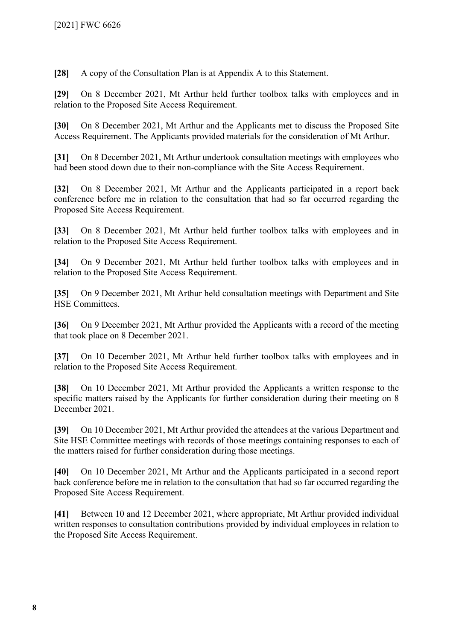**[28]** A copy of the Consultation Plan is at Appendix A to this Statement.

**[29]** On 8 December 2021, Mt Arthur held further toolbox talks with employees and in relation to the Proposed Site Access Requirement.

**[30]** On 8 December 2021, Mt Arthur and the Applicants met to discuss the Proposed Site Access Requirement. The Applicants provided materials for the consideration of Mt Arthur.

**[31]** On 8 December 2021, Mt Arthur undertook consultation meetings with employees who had been stood down due to their non-compliance with the Site Access Requirement.

**[32]** On 8 December 2021, Mt Arthur and the Applicants participated in a report back conference before me in relation to the consultation that had so far occurred regarding the Proposed Site Access Requirement.

**[33]** On 8 December 2021, Mt Arthur held further toolbox talks with employees and in relation to the Proposed Site Access Requirement.

**[34]** On 9 December 2021, Mt Arthur held further toolbox talks with employees and in relation to the Proposed Site Access Requirement.

**[35]** On 9 December 2021, Mt Arthur held consultation meetings with Department and Site HSE Committees.

**[36]** On 9 December 2021, Mt Arthur provided the Applicants with a record of the meeting that took place on 8 December 2021.

**[37]** On 10 December 2021, Mt Arthur held further toolbox talks with employees and in relation to the Proposed Site Access Requirement.

**[38]** On 10 December 2021, Mt Arthur provided the Applicants a written response to the specific matters raised by the Applicants for further consideration during their meeting on 8 December 2021.

**[39]** On 10 December 2021, Mt Arthur provided the attendees at the various Department and Site HSE Committee meetings with records of those meetings containing responses to each of the matters raised for further consideration during those meetings.

**[40]** On 10 December 2021, Mt Arthur and the Applicants participated in a second report back conference before me in relation to the consultation that had so far occurred regarding the Proposed Site Access Requirement.

**[41]** Between 10 and 12 December 2021, where appropriate, Mt Arthur provided individual written responses to consultation contributions provided by individual employees in relation to the Proposed Site Access Requirement.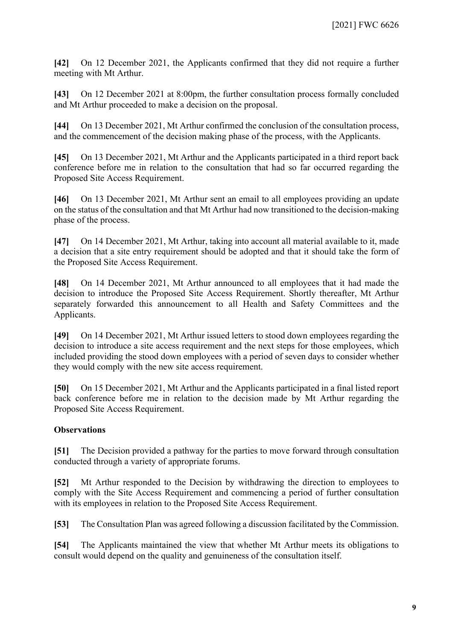**[42]** On 12 December 2021, the Applicants confirmed that they did not require a further meeting with Mt Arthur.

**[43]** On 12 December 2021 at 8:00pm, the further consultation process formally concluded and Mt Arthur proceeded to make a decision on the proposal.

**[44]** On 13 December 2021, Mt Arthur confirmed the conclusion of the consultation process, and the commencement of the decision making phase of the process, with the Applicants.

**[45]** On 13 December 2021, Mt Arthur and the Applicants participated in a third report back conference before me in relation to the consultation that had so far occurred regarding the Proposed Site Access Requirement.

**[46]** On 13 December 2021, Mt Arthur sent an email to all employees providing an update on the status of the consultation and that Mt Arthur had now transitioned to the decision-making phase of the process.

**[47]** On 14 December 2021, Mt Arthur, taking into account all material available to it, made a decision that a site entry requirement should be adopted and that it should take the form of the Proposed Site Access Requirement.

**[48]** On 14 December 2021, Mt Arthur announced to all employees that it had made the decision to introduce the Proposed Site Access Requirement. Shortly thereafter, Mt Arthur separately forwarded this announcement to all Health and Safety Committees and the Applicants.

**[49]** On 14 December 2021, Mt Arthur issued letters to stood down employees regarding the decision to introduce a site access requirement and the next steps for those employees, which included providing the stood down employees with a period of seven days to consider whether they would comply with the new site access requirement.

**[50]** On 15 December 2021, Mt Arthur and the Applicants participated in a final listed report back conference before me in relation to the decision made by Mt Arthur regarding the Proposed Site Access Requirement.

## **Observations**

**[51]** The Decision provided a pathway for the parties to move forward through consultation conducted through a variety of appropriate forums.

**[52]** Mt Arthur responded to the Decision by withdrawing the direction to employees to comply with the Site Access Requirement and commencing a period of further consultation with its employees in relation to the Proposed Site Access Requirement.

**[53]** The Consultation Plan was agreed following a discussion facilitated by the Commission.

**[54]** The Applicants maintained the view that whether Mt Arthur meets its obligations to consult would depend on the quality and genuineness of the consultation itself.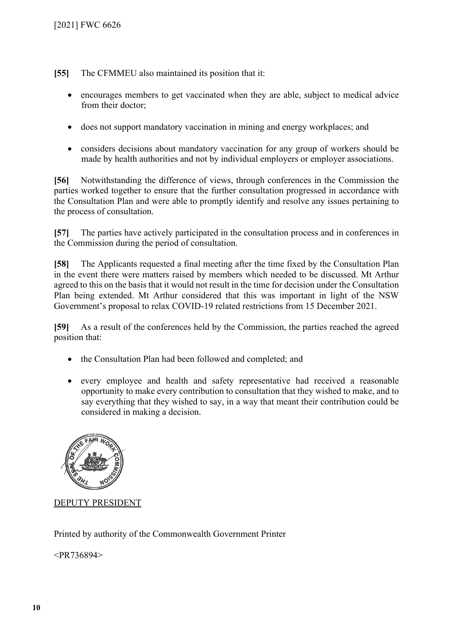**[55]** The CFMMEU also maintained its position that it:

- encourages members to get vaccinated when they are able, subject to medical advice from their doctor;
- does not support mandatory vaccination in mining and energy workplaces; and
- considers decisions about mandatory vaccination for any group of workers should be made by health authorities and not by individual employers or employer associations.

**[56]** Notwithstanding the difference of views, through conferences in the Commission the parties worked together to ensure that the further consultation progressed in accordance with the Consultation Plan and were able to promptly identify and resolve any issues pertaining to the process of consultation.

**[57]** The parties have actively participated in the consultation process and in conferences in the Commission during the period of consultation.

**[58]** The Applicants requested a final meeting after the time fixed by the Consultation Plan in the event there were matters raised by members which needed to be discussed. Mt Arthur agreed to this on the basis that it would not result in the time for decision under the Consultation Plan being extended. Mt Arthur considered that this was important in light of the NSW Government's proposal to relax COVID-19 related restrictions from 15 December 2021.

**[59]** As a result of the conferences held by the Commission, the parties reached the agreed position that:

- the Consultation Plan had been followed and completed; and
- every employee and health and safety representative had received a reasonable opportunity to make every contribution to consultation that they wished to make, and to say everything that they wished to say, in a way that meant their contribution could be considered in making a decision.



DEPUTY PRESIDENT

Printed by authority of the Commonwealth Government Printer

<PR736894>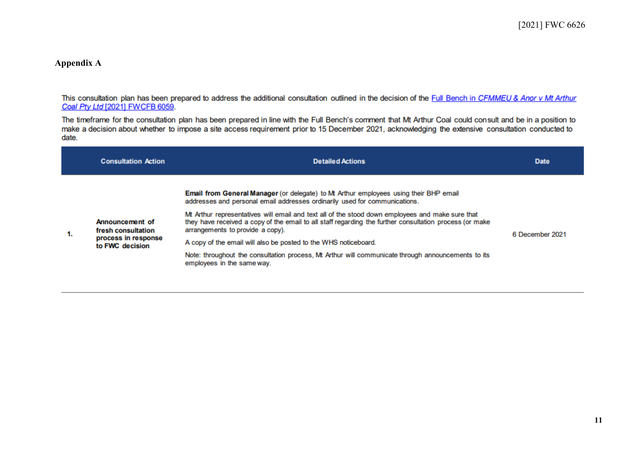#### **Appendix A**

This consultation plan has been prepared to address the additional consultation outlined in the decision of the Full Bench in CFMMEU & Anor v Mt Arthur Coal Pty Ltd [2021] FWCFB 6059.

The timeframe for the consultation plan has been prepared in line with the Full Bench's comment that Mt Arthur Coal could consult and be in a position to make a decision about whether to impose a site access requirement prior to 15 December 2021, acknowledging the extensive consultation conducted to date.

|    | <b>Consultation Action</b>                                                      | <b>Detailed Actions</b>                                                                                                                                                                                                                                                                                                                                                                                                                                                                                                                                                                                                              | <b>Date</b>     |
|----|---------------------------------------------------------------------------------|--------------------------------------------------------------------------------------------------------------------------------------------------------------------------------------------------------------------------------------------------------------------------------------------------------------------------------------------------------------------------------------------------------------------------------------------------------------------------------------------------------------------------------------------------------------------------------------------------------------------------------------|-----------------|
| 1. | Announcement of<br>fresh consultation<br>process in response<br>to FWC decision | <b>Email from General Manager</b> (or delegate) to Mt Arthur employees using their BHP email<br>addresses and personal email addresses ordinarily used for communications.<br>Mt Arthur representatives will email and text all of the stood down employees and make sure that<br>they have received a copy of the email to all staff regarding the further consultation process (or make<br>arrangements to provide a copy).<br>A copy of the email will also be posted to the WHS noticeboard.<br>Note: throughout the consultation process, Mt Arthur will communicate through announcements to its<br>employees in the same way. | 6 December 2021 |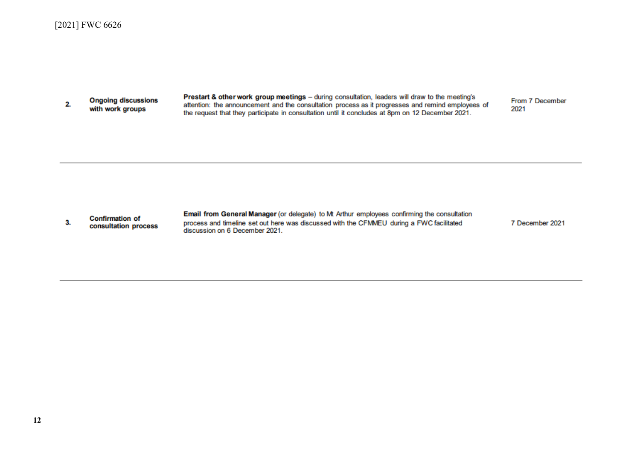**Ongoing discussions**  $2.$ with work groups

Prestart & other work group meetings - during consultation, leaders will draw to the meeting's attention: the announcement and the consultation process as it progresses and remind employees of the request that they participate in consultation until it concludes at 8pm on 12 December 2021.

From 7 December 2021



Email from General Manager (or delegate) to Mt Arthur employees confirming the consultation process and timeline set out here was discussed with the CFMMEU during a FWC facilitated discussion on 6 December 2021.

7 December 2021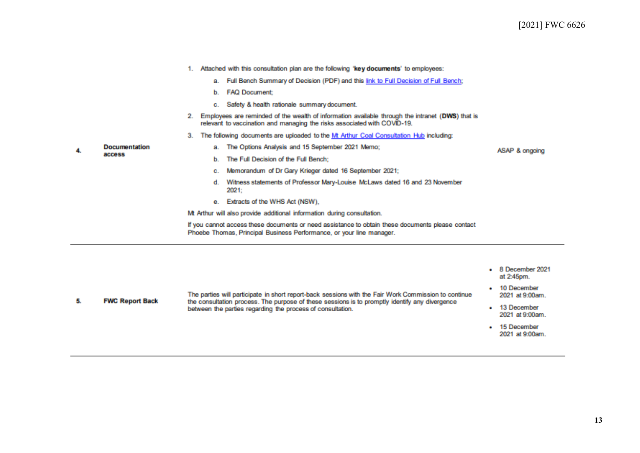|                      |                                                                         |                                                                                                                                                                          | 1. Attached with this consultation plan are the following 'key documents' to employees:                                                                                      |                |  |  |
|----------------------|-------------------------------------------------------------------------|--------------------------------------------------------------------------------------------------------------------------------------------------------------------------|------------------------------------------------------------------------------------------------------------------------------------------------------------------------------|----------------|--|--|
|                      |                                                                         |                                                                                                                                                                          | a. Full Bench Summary of Decision (PDF) and this link to Full Decision of Full Bench;                                                                                        |                |  |  |
|                      |                                                                         |                                                                                                                                                                          | b. FAQ Document:                                                                                                                                                             |                |  |  |
|                      |                                                                         |                                                                                                                                                                          | c. Safety & health rationale summary document.                                                                                                                               |                |  |  |
|                      | 2.                                                                      |                                                                                                                                                                          | Employees are reminded of the wealth of information available through the intranet (DWS) that is<br>relevant to vaccination and managing the risks associated with COVID-19. |                |  |  |
|                      | З.                                                                      |                                                                                                                                                                          | The following documents are uploaded to the Mt Arthur Coal Consultation Hub including:                                                                                       |                |  |  |
| <b>Documentation</b> |                                                                         |                                                                                                                                                                          | a. The Options Analysis and 15 September 2021 Memo;                                                                                                                          | ASAP & ongoing |  |  |
| access               |                                                                         |                                                                                                                                                                          | b. The Full Decision of the Full Bench:                                                                                                                                      |                |  |  |
|                      |                                                                         |                                                                                                                                                                          | Memorandum of Dr Gary Krieger dated 16 September 2021;                                                                                                                       |                |  |  |
|                      |                                                                         | d.                                                                                                                                                                       | Witness statements of Professor Mary-Louise McLaws dated 16 and 23 November<br>2021;                                                                                         |                |  |  |
|                      |                                                                         |                                                                                                                                                                          | e. Extracts of the WHS Act (NSW),                                                                                                                                            |                |  |  |
|                      | Mt Arthur will also provide additional information during consultation. |                                                                                                                                                                          |                                                                                                                                                                              |                |  |  |
|                      |                                                                         | If you cannot access these documents or need assistance to obtain these documents please contact<br>Phoebe Thomas, Principal Business Performance, or your line manager. |                                                                                                                                                                              |                |  |  |

4.

|                        |                                                                                                                                                                                                        | 8 December 2021<br>at 2:45pm.  |
|------------------------|--------------------------------------------------------------------------------------------------------------------------------------------------------------------------------------------------------|--------------------------------|
| <b>FWC Report Back</b> | The parties will participate in short report-back sessions with the Fair Work Commission to continue<br>the consultation process. The purpose of these sessions is to promptly identify any divergence | 10 December<br>2021 at 9:00am. |
|                        | between the parties regarding the process of consultation.                                                                                                                                             | 13 December<br>2021 at 9:00am. |
|                        |                                                                                                                                                                                                        | 15 December<br>2021 at 9:00am. |
|                        |                                                                                                                                                                                                        |                                |

**13**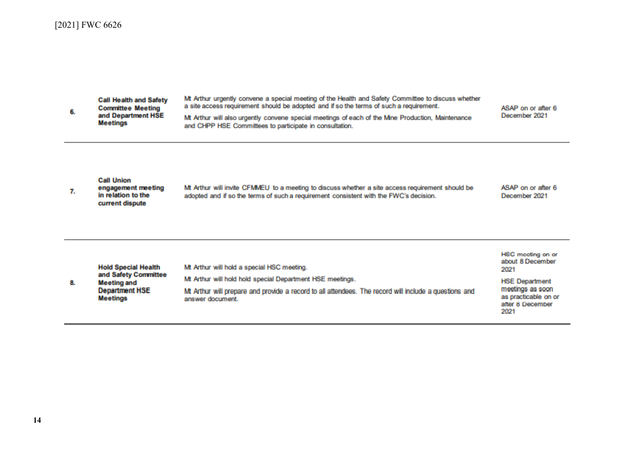| 6. | <b>Call Health and Safety</b><br><b>Committee Meeting</b><br>and Department HSE<br><b>Meetings</b>                   | Mt Arthur urgently convene a special meeting of the Health and Safety Committee to discuss whether<br>a site access requirement should be adopted and if so the terms of such a requirement.<br>Mt Arthur will also urgently convene special meetings of each of the Mine Production, Maintenance<br>and CHPP HSE Committees to participate in consultation. | ASAP on or after 6<br>December 2021                                                                                                                   |
|----|----------------------------------------------------------------------------------------------------------------------|--------------------------------------------------------------------------------------------------------------------------------------------------------------------------------------------------------------------------------------------------------------------------------------------------------------------------------------------------------------|-------------------------------------------------------------------------------------------------------------------------------------------------------|
| 7. | <b>Call Union</b><br>engagement meeting<br>in relation to the<br>current dispute                                     | Mt Arthur will invite CFMMEU to a meeting to discuss whether a site access requirement should be<br>adopted and if so the terms of such a requirement consistent with the FWC's decision.                                                                                                                                                                    | ASAP on or after 6<br>December 2021                                                                                                                   |
| 8. | <b>Hold Special Health</b><br>and Safety Committee<br><b>Meeting and</b><br><b>Department HSE</b><br><b>Meetings</b> | Mt Arthur will hold a special HSC meeting.<br>Mt Arthur will hold hold special Department HSE meetings.<br>Mt Arthur will prepare and provide a record to all attendees. The record will include a questions and<br>answer document                                                                                                                          | <b>HSC</b> mooting on or<br>about 8 December<br>2021<br><b>HSE Department</b><br>meetings as soon<br>as practicable on or<br>after 8 December<br>2021 |